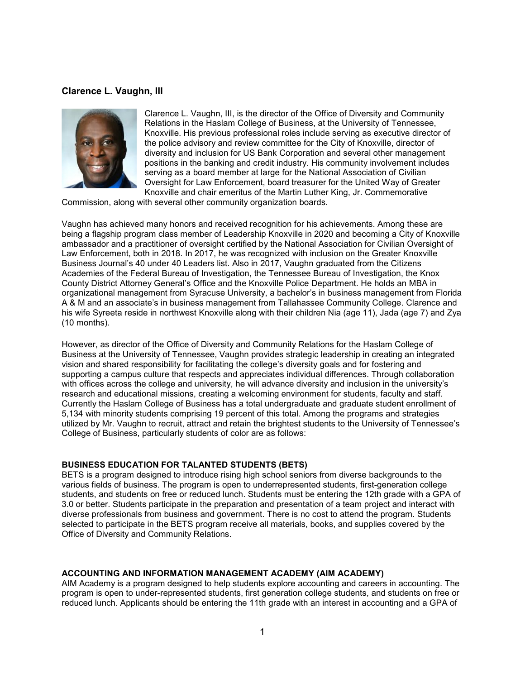# **Clarence L. Vaughn, III**



Clarence L. Vaughn, III, is the director of the Office of Diversity and Community Relations in the Haslam College of Business, at the University of Tennessee, Knoxville. His previous professional roles include serving as executive director of the police advisory and review committee for the City of Knoxville, director of diversity and inclusion for US Bank Corporation and several other management positions in the banking and credit industry. His community involvement includes serving as a board member at large for the National Association of Civilian Oversight for Law Enforcement, board treasurer for the United Way of Greater Knoxville and chair emeritus of the Martin Luther King, Jr. Commemorative

Commission, along with several other community organization boards.

Vaughn has achieved many honors and received recognition for his achievements. Among these are being a flagship program class member of Leadership Knoxville in 2020 and becoming a City of Knoxville ambassador and a practitioner of oversight certified by the National Association for Civilian Oversight of Law Enforcement, both in 2018. In 2017, he was recognized with inclusion on the Greater Knoxville Business Journal's 40 under 40 Leaders list. Also in 2017, Vaughn graduated from the Citizens Academies of the Federal Bureau of Investigation, the Tennessee Bureau of Investigation, the Knox County District Attorney General's Office and the Knoxville Police Department. He holds an MBA in organizational management from Syracuse University, a bachelor's in business management from Florida A & M and an associate's in business management from Tallahassee Community College. Clarence and his wife Syreeta reside in northwest Knoxville along with their children Nia (age 11), Jada (age 7) and Zya (10 months).

However, as director of the Office of Diversity and Community Relations for the Haslam College of Business at the University of Tennessee, Vaughn provides strategic leadership in creating an integrated vision and shared responsibility for facilitating the college's diversity goals and for fostering and supporting a campus culture that respects and appreciates individual differences. Through collaboration with offices across the college and university, he will advance diversity and inclusion in the university's research and educational missions, creating a welcoming environment for students, faculty and staff. Currently the Haslam College of Business has a total undergraduate and graduate student enrollment of 5,134 with minority students comprising 19 percent of this total. Among the programs and strategies utilized by Mr. Vaughn to recruit, attract and retain the brightest students to the University of Tennessee's College of Business, particularly students of color are as follows:

#### **BUSINESS EDUCATION FOR TALANTED STUDENTS (BETS)**

BETS is a program designed to introduce rising high school seniors from diverse backgrounds to the various fields of business. The program is open to underrepresented students, first-generation college students, and students on free or reduced lunch. Students must be entering the 12th grade with a GPA of 3.0 or better. Students participate in the preparation and presentation of a team project and interact with diverse professionals from business and government. There is no cost to attend the program. Students selected to participate in the BETS program receive all materials, books, and supplies covered by the Office of Diversity and Community Relations.

#### **ACCOUNTING AND INFORMATION MANAGEMENT ACADEMY (AIM ACADEMY)**

AIM Academy is a program designed to help students explore accounting and careers in accounting. The program is open to under-represented students, first generation college students, and students on free or reduced lunch. Applicants should be entering the 11th grade with an interest in accounting and a GPA of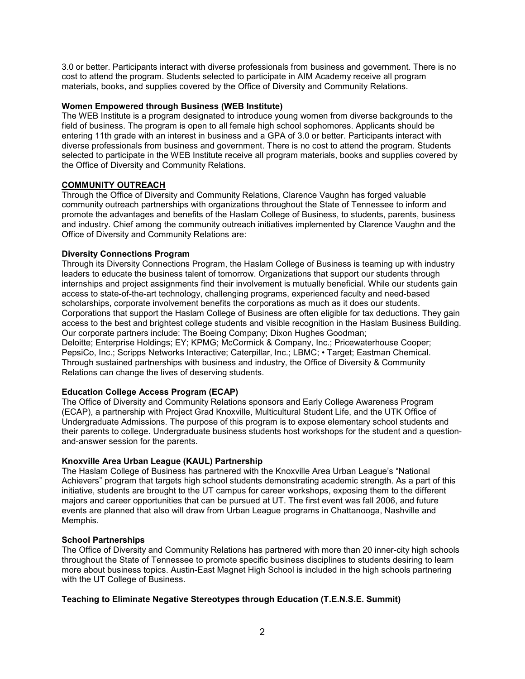3.0 or better. Participants interact with diverse professionals from business and government. There is no cost to attend the program. Students selected to participate in AIM Academy receive all program materials, books, and supplies covered by the Office of Diversity and Community Relations.

# **Women Empowered through Business (WEB Institute)**

The WEB Institute is a program designated to introduce young women from diverse backgrounds to the field of business. The program is open to all female high school sophomores. Applicants should be entering 11th grade with an interest in business and a GPA of 3.0 or better. Participants interact with diverse professionals from business and government. There is no cost to attend the program. Students selected to participate in the WEB Institute receive all program materials, books and supplies covered by the Office of Diversity and Community Relations.

### **COMMUNITY OUTREACH**

Through the Office of Diversity and Community Relations, Clarence Vaughn has forged valuable community outreach partnerships with organizations throughout the State of Tennessee to inform and promote the advantages and benefits of the Haslam College of Business, to students, parents, business and industry. Chief among the community outreach initiatives implemented by Clarence Vaughn and the Office of Diversity and Community Relations are:

### **Diversity Connections Program**

Through its Diversity Connections Program, the Haslam College of Business is teaming up with industry leaders to educate the business talent of tomorrow. Organizations that support our students through internships and project assignments find their involvement is mutually beneficial. While our students gain access to state-of-the-art technology, challenging programs, experienced faculty and need-based scholarships, corporate involvement benefits the corporations as much as it does our students. Corporations that support the Haslam College of Business are often eligible for tax deductions. They gain access to the best and brightest college students and visible recognition in the Haslam Business Building. Our corporate partners include: The Boeing Company; Dixon Hughes Goodman; Deloitte; Enterprise Holdings; EY; KPMG; McCormick & Company, Inc.; Pricewaterhouse Cooper; PepsiCo, Inc.; Scripps Networks Interactive; Caterpillar, Inc.; LBMC; • Target; Eastman Chemical. Through sustained partnerships with business and industry, the Office of Diversity & Community Relations can change the lives of deserving students.

### **Education College Access Program (ECAP)**

The Office of Diversity and Community Relations sponsors and Early College Awareness Program (ECAP), a partnership with Project Grad Knoxville, Multicultural Student Life, and the UTK Office of Undergraduate Admissions. The purpose of this program is to expose elementary school students and their parents to college. Undergraduate business students host workshops for the student and a questionand-answer session for the parents.

### **Knoxville Area Urban League (KAUL) Partnership**

The Haslam College of Business has partnered with the Knoxville Area Urban League's "National Achievers" program that targets high school students demonstrating academic strength. As a part of this initiative, students are brought to the UT campus for career workshops, exposing them to the different majors and career opportunities that can be pursued at UT. The first event was fall 2006, and future events are planned that also will draw from Urban League programs in Chattanooga, Nashville and Memphis.

### **School Partnerships**

The Office of Diversity and Community Relations has partnered with more than 20 inner-city high schools throughout the State of Tennessee to promote specific business disciplines to students desiring to learn more about business topics. Austin-East Magnet High School is included in the high schools partnering with the UT College of Business.

# **Teaching to Eliminate Negative Stereotypes through Education (T.E.N.S.E. Summit)**